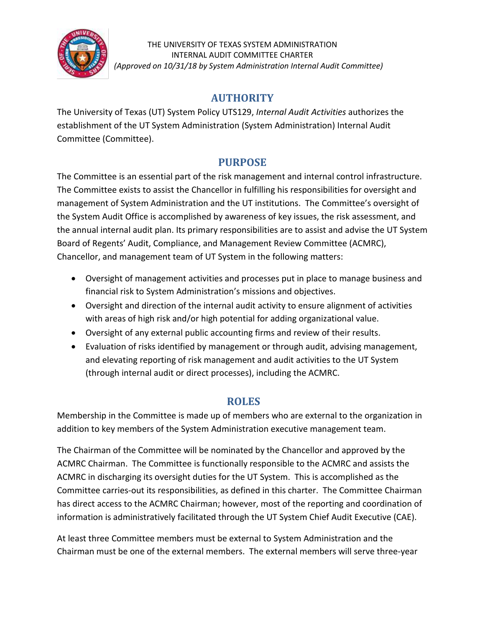

THE UNIVERSITY OF TEXAS SYSTEM ADMINISTRATION INTERNAL AUDIT COMMITTEE CHARTER *(Approved on 10/31/18 by System Administration Internal Audit Committee)*

### **AUTHORITY**

The University of Texas (UT) System Policy UTS129, *Internal Audit Activities* authorizes the establishment of the UT System Administration (System Administration) Internal Audit Committee (Committee).

## **PURPOSE**

The Committee is an essential part of the risk management and internal control infrastructure. The Committee exists to assist the Chancellor in fulfilling his responsibilities for oversight and management of System Administration and the UT institutions. The Committee's oversight of the System Audit Office is accomplished by awareness of key issues, the risk assessment, and the annual internal audit plan. Its primary responsibilities are to assist and advise the UT System Board of Regents' Audit, Compliance, and Management Review Committee (ACMRC), Chancellor, and management team of UT System in the following matters:

- Oversight of management activities and processes put in place to manage business and financial risk to System Administration's missions and objectives.
- Oversight and direction of the internal audit activity to ensure alignment of activities with areas of high risk and/or high potential for adding organizational value.
- Oversight of any external public accounting firms and review of their results.
- Evaluation of risks identified by management or through audit, advising management, and elevating reporting of risk management and audit activities to the UT System (through internal audit or direct processes), including the ACMRC.

# **ROLES**

Membership in the Committee is made up of members who are external to the organization in addition to key members of the System Administration executive management team.

The Chairman of the Committee will be nominated by the Chancellor and approved by the ACMRC Chairman. The Committee is functionally responsible to the ACMRC and assists the ACMRC in discharging its oversight duties for the UT System. This is accomplished as the Committee carries-out its responsibilities, as defined in this charter. The Committee Chairman has direct access to the ACMRC Chairman; however, most of the reporting and coordination of information is administratively facilitated through the UT System Chief Audit Executive (CAE).

At least three Committee members must be external to System Administration and the Chairman must be one of the external members. The external members will serve three-year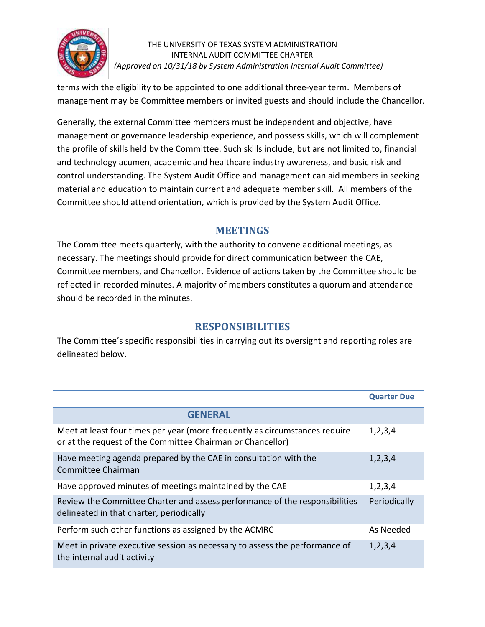

#### THE UNIVERSITY OF TEXAS SYSTEM ADMINISTRATION INTERNAL AUDIT COMMITTEE CHARTER *(Approved on 10/31/18 by System Administration Internal Audit Committee)*

terms with the eligibility to be appointed to one additional three-year term. Members of management may be Committee members or invited guests and should include the Chancellor.

Generally, the external Committee members must be independent and objective, have management or governance leadership experience, and possess skills, which will complement the profile of skills held by the Committee. Such skills include, but are not limited to, financial and technology acumen, academic and healthcare industry awareness, and basic risk and control understanding. The System Audit Office and management can aid members in seeking material and education to maintain current and adequate member skill. All members of the Committee should attend orientation, which is provided by the System Audit Office.

#### **MEETINGS**

The Committee meets quarterly, with the authority to convene additional meetings, as necessary. The meetings should provide for direct communication between the CAE, Committee members, and Chancellor. Evidence of actions taken by the Committee should be reflected in recorded minutes. A majority of members constitutes a quorum and attendance should be recorded in the minutes.

### **RESPONSIBILITIES**

The Committee's specific responsibilities in carrying out its oversight and reporting roles are delineated below.

|                                                                                                                                           | <b>Quarter Due</b> |
|-------------------------------------------------------------------------------------------------------------------------------------------|--------------------|
| <b>GENERAL</b>                                                                                                                            |                    |
| Meet at least four times per year (more frequently as circumstances require<br>or at the request of the Committee Chairman or Chancellor) | 1,2,3,4            |
| Have meeting agenda prepared by the CAE in consultation with the<br>Committee Chairman                                                    | 1,2,3,4            |
| Have approved minutes of meetings maintained by the CAE                                                                                   | 1,2,3,4            |
| Review the Committee Charter and assess performance of the responsibilities<br>delineated in that charter, periodically                   | Periodically       |
| Perform such other functions as assigned by the ACMRC                                                                                     | As Needed          |
| Meet in private executive session as necessary to assess the performance of<br>the internal audit activity                                | 1,2,3,4            |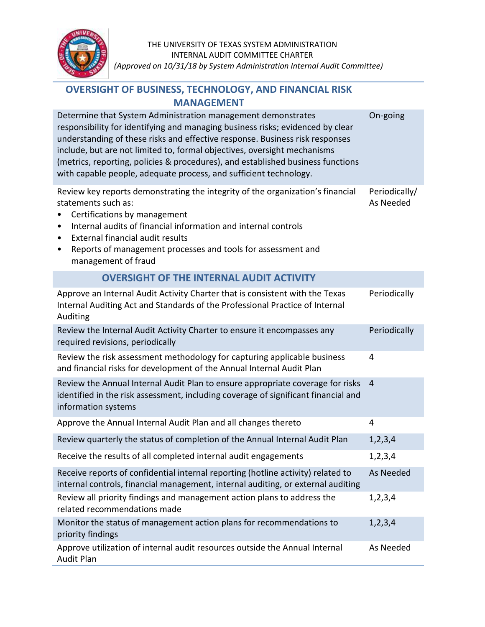

### **OVERSIGHT OF BUSINESS, TECHNOLOGY, AND FINANCIAL RISK MANAGEMENT**

| Determine that System Administration management demonstrates<br>responsibility for identifying and managing business risks; evidenced by clear<br>understanding of these risks and effective response. Business risk responses<br>include, but are not limited to, formal objectives, oversight mechanisms<br>(metrics, reporting, policies & procedures), and established business functions<br>with capable people, adequate process, and sufficient technology. | On-going                   |
|--------------------------------------------------------------------------------------------------------------------------------------------------------------------------------------------------------------------------------------------------------------------------------------------------------------------------------------------------------------------------------------------------------------------------------------------------------------------|----------------------------|
| Review key reports demonstrating the integrity of the organization's financial<br>statements such as:<br>Certifications by management<br>Internal audits of financial information and internal controls<br>٠<br><b>External financial audit results</b><br>٠<br>Reports of management processes and tools for assessment and<br>٠<br>management of fraud                                                                                                           | Periodically/<br>As Needed |
| <b>OVERSIGHT OF THE INTERNAL AUDIT ACTIVITY</b>                                                                                                                                                                                                                                                                                                                                                                                                                    |                            |
| Approve an Internal Audit Activity Charter that is consistent with the Texas<br>Internal Auditing Act and Standards of the Professional Practice of Internal<br>Auditing                                                                                                                                                                                                                                                                                           | Periodically               |
| Review the Internal Audit Activity Charter to ensure it encompasses any<br>required revisions, periodically                                                                                                                                                                                                                                                                                                                                                        | Periodically               |
| Review the risk assessment methodology for capturing applicable business<br>and financial risks for development of the Annual Internal Audit Plan                                                                                                                                                                                                                                                                                                                  | 4                          |
| Review the Annual Internal Audit Plan to ensure appropriate coverage for risks<br>identified in the risk assessment, including coverage of significant financial and<br>information systems                                                                                                                                                                                                                                                                        | $\overline{4}$             |
| Approve the Annual Internal Audit Plan and all changes thereto                                                                                                                                                                                                                                                                                                                                                                                                     | 4                          |
| Review quarterly the status of completion of the Annual Internal Audit Plan                                                                                                                                                                                                                                                                                                                                                                                        | 1, 2, 3, 4                 |
| Receive the results of all completed internal audit engagements                                                                                                                                                                                                                                                                                                                                                                                                    | 1, 2, 3, 4                 |
| Receive reports of confidential internal reporting (hotline activity) related to<br>internal controls, financial management, internal auditing, or external auditing                                                                                                                                                                                                                                                                                               | As Needed                  |
| Review all priority findings and management action plans to address the<br>related recommendations made                                                                                                                                                                                                                                                                                                                                                            | 1,2,3,4                    |
| Monitor the status of management action plans for recommendations to<br>priority findings                                                                                                                                                                                                                                                                                                                                                                          | 1, 2, 3, 4                 |
| Approve utilization of internal audit resources outside the Annual Internal<br><b>Audit Plan</b>                                                                                                                                                                                                                                                                                                                                                                   | As Needed                  |